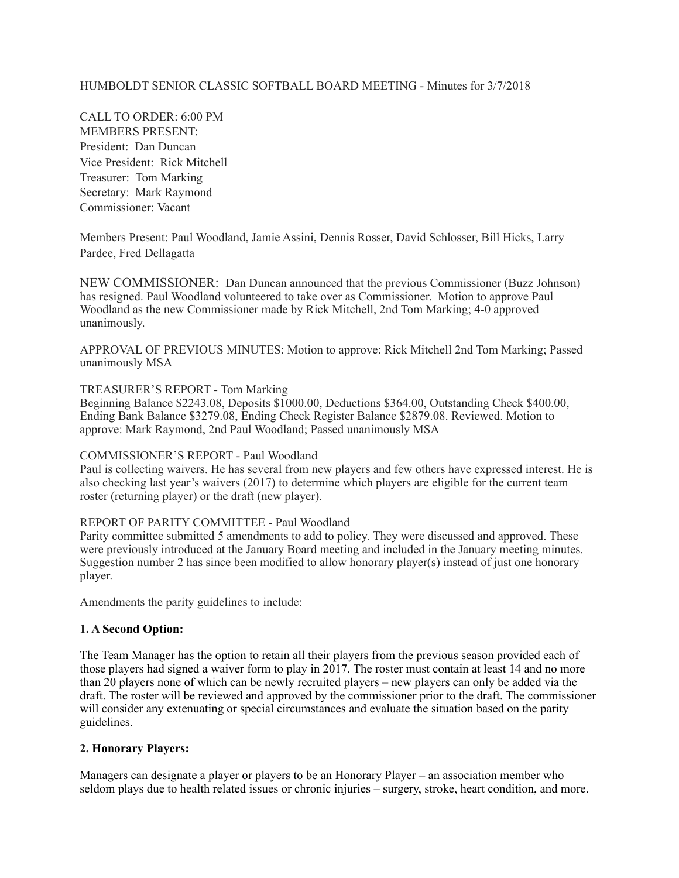# HUMBOLDT SENIOR CLASSIC SOFTBALL BOARD MEETING - Minutes for 3/7/2018

CALL TO ORDER: 6:00 PM MEMBERS PRESENT: President: Dan Duncan Vice President: Rick Mitchell Treasurer: Tom Marking Secretary: Mark Raymond Commissioner: Vacant

Members Present: Paul Woodland, Jamie Assini, Dennis Rosser, David Schlosser, Bill Hicks, Larry Pardee, Fred Dellagatta

NEW COMMISSIONER: Dan Duncan announced that the previous Commissioner (Buzz Johnson) has resigned. Paul Woodland volunteered to take over as Commissioner. Motion to approve Paul Woodland as the new Commissioner made by Rick Mitchell, 2nd Tom Marking; 4-0 approved unanimously.

APPROVAL OF PREVIOUS MINUTES: Motion to approve: Rick Mitchell 2nd Tom Marking; Passed unanimously MSA

#### TREASURER'S REPORT - Tom Marking

Beginning Balance \$2243.08, Deposits \$1000.00, Deductions \$364.00, Outstanding Check \$400.00, Ending Bank Balance \$3279.08, Ending Check Register Balance \$2879.08. Reviewed. Motion to approve: Mark Raymond, 2nd Paul Woodland; Passed unanimously MSA

#### COMMISSIONER'S REPORT - Paul Woodland

Paul is collecting waivers. He has several from new players and few others have expressed interest. He is also checking last year's waivers (2017) to determine which players are eligible for the current team roster (returning player) or the draft (new player).

### REPORT OF PARITY COMMITTEE - Paul Woodland

Parity committee submitted 5 amendments to add to policy. They were discussed and approved. These were previously introduced at the January Board meeting and included in the January meeting minutes. Suggestion number 2 has since been modified to allow honorary player(s) instead of just one honorary player.

Amendments the parity guidelines to include:

### **1. A Second Option:**

The Team Manager has the option to retain all their players from the previous season provided each of those players had signed a waiver form to play in 2017. The roster must contain at least 14 and no more than 20 players none of which can be newly recruited players – new players can only be added via the draft. The roster will be reviewed and approved by the commissioner prior to the draft. The commissioner will consider any extenuating or special circumstances and evaluate the situation based on the parity guidelines.

#### **2. Honorary Players:**

Managers can designate a player or players to be an Honorary Player – an association member who seldom plays due to health related issues or chronic injuries – surgery, stroke, heart condition, and more.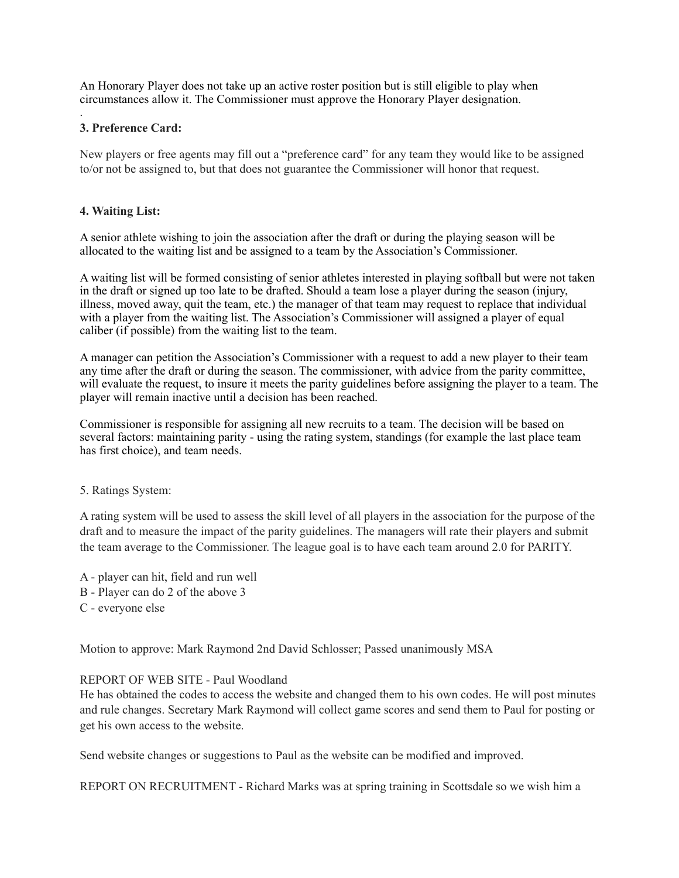An Honorary Player does not take up an active roster position but is still eligible to play when circumstances allow it. The Commissioner must approve the Honorary Player designation.

# **3. Preference Card:**

.

New players or free agents may fill out a "preference card" for any team they would like to be assigned to/or not be assigned to, but that does not guarantee the Commissioner will honor that request.

## **4. Waiting List:**

A senior athlete wishing to join the association after the draft or during the playing season will be allocated to the waiting list and be assigned to a team by the Association's Commissioner.

A waiting list will be formed consisting of senior athletes interested in playing softball but were not taken in the draft or signed up too late to be drafted. Should a team lose a player during the season (injury, illness, moved away, quit the team, etc.) the manager of that team may request to replace that individual with a player from the waiting list. The Association's Commissioner will assigned a player of equal caliber (if possible) from the waiting list to the team.

A manager can petition the Association's Commissioner with a request to add a new player to their team any time after the draft or during the season. The commissioner, with advice from the parity committee, will evaluate the request, to insure it meets the parity guidelines before assigning the player to a team. The player will remain inactive until a decision has been reached.

Commissioner is responsible for assigning all new recruits to a team. The decision will be based on several factors: maintaining parity - using the rating system, standings (for example the last place team has first choice), and team needs.

### 5. Ratings System:

A rating system will be used to assess the skill level of all players in the association for the purpose of the draft and to measure the impact of the parity guidelines. The managers will rate their players and submit the team average to the Commissioner. The league goal is to have each team around 2.0 for PARITY.

A - player can hit, field and run well B - Player can do 2 of the above 3 C - everyone else

Motion to approve: Mark Raymond 2nd David Schlosser; Passed unanimously MSA

### REPORT OF WEB SITE - Paul Woodland

He has obtained the codes to access the website and changed them to his own codes. He will post minutes and rule changes. Secretary Mark Raymond will collect game scores and send them to Paul for posting or get his own access to the website.

Send website changes or suggestions to Paul as the website can be modified and improved.

REPORT ON RECRUITMENT - Richard Marks was at spring training in Scottsdale so we wish him a